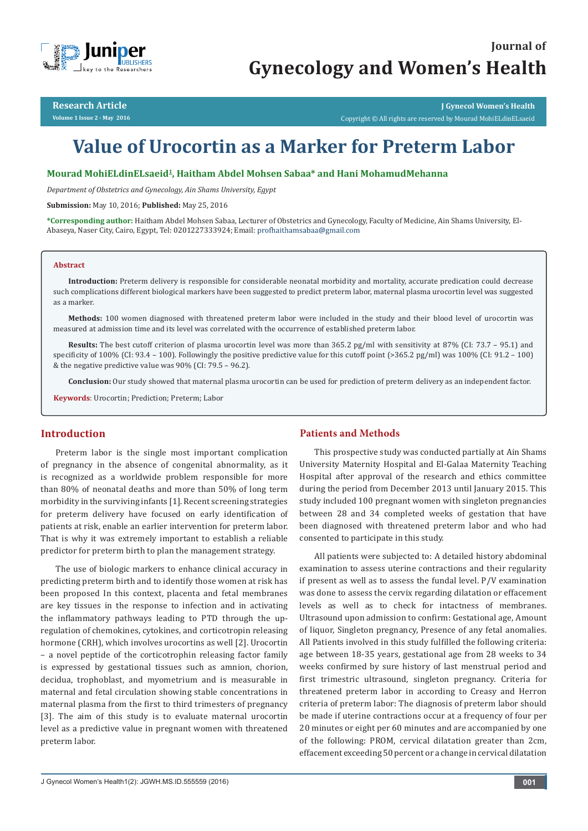

**Research Article Volume 1 Issue 2 - May 2016**

**J Gynecol Women's Health** Copyright © All rights are reserved by Mourad MohiELdinELsaeid

# **Value of Urocortin as a Marker for Preterm Labor**

**Mourad MohiELdinELsaeid1, Haitham Abdel Mohsen Sabaa\* and Hani MohamudMehanna**

*Department of Obstetrics and Gynecology, Ain Shams University, Egypt*

**Submission:** May 10, 2016; **Published:** May 25, 2016

**\*Corresponding author:** Haitham Abdel Mohsen Sabaa, Lecturer of Obstetrics and Gynecology, Faculty of Medicine, Ain Shams University, El-Abaseya, Naser City, Cairo, Egypt, Tel: 0201227333924; Email:

#### **Abstract**

**Introduction:** Preterm delivery is responsible for considerable neonatal morbidity and mortality, accurate predication could decrease such complications different biological markers have been suggested to predict preterm labor, maternal plasma urocortin level was suggested as a marker.

**Methods:** 100 women diagnosed with threatened preterm labor were included in the study and their blood level of urocortin was measured at admission time and its level was correlated with the occurrence of established preterm labor.

**Results:** The best cutoff criterion of plasma urocortin level was more than 365.2 pg/ml with sensitivity at 87% (CI: 73.7 – 95.1) and specificity of 100% (CI: 93.4 – 100). Followingly the positive predictive value for this cutoff point (>365.2 pg/ml) was 100% (CI: 91.2 – 100) & the negative predictive value was 90% (CI: 79.5 – 96.2).

**Conclusion:** Our study showed that maternal plasma urocortin can be used for prediction of preterm delivery as an independent factor.

**Keywords**: Urocortin; Prediction; Preterm; Labor

## **Introduction**

Preterm labor is the single most important complication of pregnancy in the absence of congenital abnormality, as it is recognized as a worldwide problem responsible for more than 80% of neonatal deaths and more than 50% of long term morbidity in the surviving infants [1]. Recent screening strategies for preterm delivery have focused on early identification of patients at risk, enable an earlier intervention for preterm labor. That is why it was extremely important to establish a reliable predictor for preterm birth to plan the management strategy.

The use of biologic markers to enhance clinical accuracy in predicting preterm birth and to identify those women at risk has been proposed In this context, placenta and fetal membranes are key tissues in the response to infection and in activating the inflammatory pathways leading to PTD through the upregulation of chemokines, cytokines, and corticotropin releasing hormone (CRH), which involves urocortins as well [2]. Urocortin – a novel peptide of the corticotrophin releasing factor family is expressed by gestational tissues such as amnion, chorion, decidua, trophoblast, and myometrium and is measurable in maternal and fetal circulation showing stable concentrations in maternal plasma from the first to third trimesters of pregnancy [3]. The aim of this study is to evaluate maternal urocortin level as a predictive value in pregnant women with threatened preterm labor.

# **Patients and Methods**

This prospective study was conducted partially at Ain Shams University Maternity Hospital and El-Galaa Maternity Teaching Hospital after approval of the research and ethics committee during the period from December 2013 until January 2015. This study included 100 pregnant women with singleton pregnancies between 28 and 34 completed weeks of gestation that have been diagnosed with threatened preterm labor and who had consented to participate in this study.

All patients were subjected to: A detailed history abdominal examination to assess uterine contractions and their regularity if present as well as to assess the fundal level. P/V examination was done to assess the cervix regarding dilatation or effacement levels as well as to check for intactness of membranes. Ultrasound upon admission to confirm: Gestational age, Amount of liquor, Singleton pregnancy, Presence of any fetal anomalies. All Patients involved in this study fulfilled the following criteria: age between 18-35 years, gestational age from 28 weeks to 34 weeks confirmed by sure history of last menstrual period and first trimestric ultrasound, singleton pregnancy. Criteria for threatened preterm labor in according to Creasy and Herron criteria of preterm labor: The diagnosis of preterm labor should be made if uterine contractions occur at a frequency of four per 20 minutes or eight per 60 minutes and are accompanied by one of the following: PROM, cervical dilatation greater than 2cm, effacement exceeding 50 percent or a change in cervical dilatation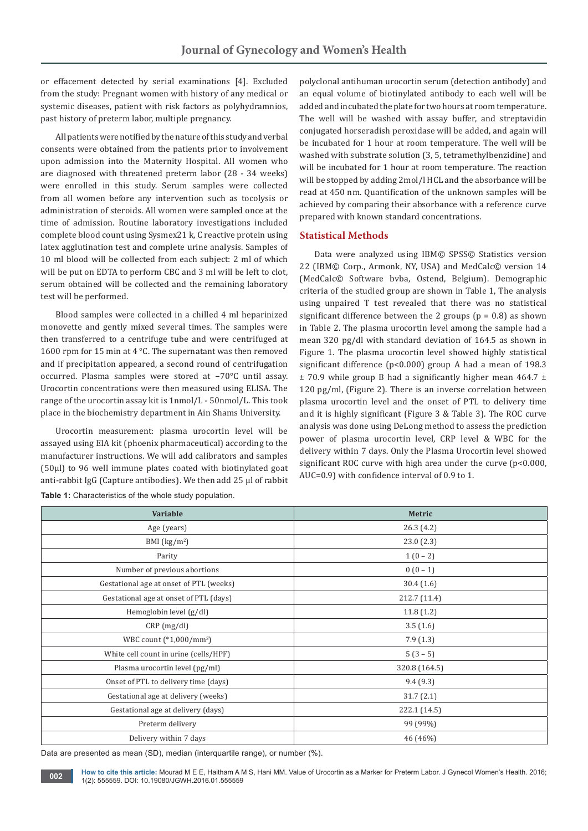or effacement detected by serial examinations [4]. Excluded from the study: Pregnant women with history of any medical or systemic diseases, patient with risk factors as polyhydramnios, past history of preterm labor, multiple pregnancy.

All patients were notified by the nature of this study and verbal consents were obtained from the patients prior to involvement upon admission into the Maternity Hospital. All women who are diagnosed with threatened preterm labor (28 - 34 weeks) were enrolled in this study. Serum samples were collected from all women before any intervention such as tocolysis or administration of steroids. All women were sampled once at the time of admission. Routine laboratory investigations included complete blood count using Sysmex21 k, C reactive protein using latex agglutination test and complete urine analysis. Samples of 10 ml blood will be collected from each subject: 2 ml of which will be put on EDTA to perform CBC and 3 ml will be left to clot, serum obtained will be collected and the remaining laboratory test will be performed.

Blood samples were collected in a chilled 4 ml heparinized monovette and gently mixed several times. The samples were then transferred to a centrifuge tube and were centrifuged at 1600 rpm for 15 min at 4 °C. The supernatant was then removed and if precipitation appeared, a second round of centrifugation occurred. Plasma samples were stored at −70°C until assay. Urocortin concentrations were then measured using ELISA. The range of the urocortin assay kit is 1nmol/L - 50nmol/L. This took place in the biochemistry department in Ain Shams University.

Urocortin measurement: plasma urocortin level will be assayed using EIA kit (phoenix pharmaceutical) according to the manufacturer instructions. We will add calibrators and samples (50µl) to 96 well immune plates coated with biotinylated goat anti-rabbit IgG (Capture antibodies). We then add 25 µl of rabbit

**Table 1:** Characteristics of the whole study population.

polyclonal antihuman urocortin serum (detection antibody) and an equal volume of biotinylated antibody to each well will be added and incubated the plate for two hours at room temperature. The well will be washed with assay buffer, and streptavidin conjugated horseradish peroxidase will be added, and again will be incubated for 1 hour at room temperature. The well will be washed with substrate solution (3, 5, tetramethylbenzidine) and will be incubated for 1 hour at room temperature. The reaction will be stopped by adding 2mol/l HCL and the absorbance will be read at 450 nm. Quantification of the unknown samples will be achieved by comparing their absorbance with a reference curve prepared with known standard concentrations.

# **Statistical Methods**

Data were analyzed using IBM© SPSS© Statistics version 22 (IBM© Corp., Armonk, NY, USA) and MedCalc© version 14 (MedCalc© Software bvba, Ostend, Belgium). Demographic criteria of the studied group are shown in Table 1, The analysis using unpaired T test revealed that there was no statistical significant difference between the 2 groups ( $p = 0.8$ ) as shown in Table 2. The plasma urocortin level among the sample had a mean 320 pg/dl with standard deviation of 164.5 as shown in Figure 1. The plasma urocortin level showed highly statistical significant difference (p<0.000) group A had a mean of 198.3  $\pm$  70.9 while group B had a significantly higher mean 464.7  $\pm$ 120 pg/ml, (Figure 2). There is an inverse correlation between plasma urocortin level and the onset of PTL to delivery time and it is highly significant (Figure 3 & Table 3). The ROC curve analysis was done using DeLong method to assess the prediction power of plasma urocortin level, CRP level & WBC for the delivery within 7 days. Only the Plasma Urocortin level showed significant ROC curve with high area under the curve  $(p<0.000,$ AUC=0.9) with confidence interval of 0.9 to 1.

| Variable                                | Metric        |  |  |
|-----------------------------------------|---------------|--|--|
| Age (years)                             | 26.3(4.2)     |  |  |
| BMI $(kg/m2)$                           | 23.0(2.3)     |  |  |
| Parity                                  | $1(0-2)$      |  |  |
| Number of previous abortions            | $0(0-1)$      |  |  |
| Gestational age at onset of PTL (weeks) | 30.4(1.6)     |  |  |
| Gestational age at onset of PTL (days)  | 212.7 (11.4)  |  |  |
| Hemoglobin level (g/dl)                 | 11.8(1.2)     |  |  |
| $CRP$ (mg/dl)                           | 3.5(1.6)      |  |  |
| WBC count (*1,000/mm <sup>3</sup> )     | 7.9(1.3)      |  |  |
| White cell count in urine (cells/HPF)   | $5(3-5)$      |  |  |
| Plasma urocortin level (pg/ml)          | 320.8 (164.5) |  |  |
| Onset of PTL to delivery time (days)    | 9.4(9.3)      |  |  |
| Gestational age at delivery (weeks)     | 31.7(2.1)     |  |  |
| Gestational age at delivery (days)      | 222.1 (14.5)  |  |  |
| Preterm delivery                        | 99 (99%)      |  |  |
| Delivery within 7 days                  | 46 (46%)      |  |  |

Data are presented as mean (SD), median (interquartile range), or number (%).

**How to cite this article:** Mourad M E E, Haitham A M S, Hani MM. Value of Urocortin as a Marker for Preterm Labor. J Gynecol Women's Health. 2016; 1(2): 555559. DOI: [10.19080/JGWH.2016.01.555559](http://dx.doi.org/10.19080/jgwh.2016.01.555559
). DOI: 10.19080/JGWH.2016.01.555559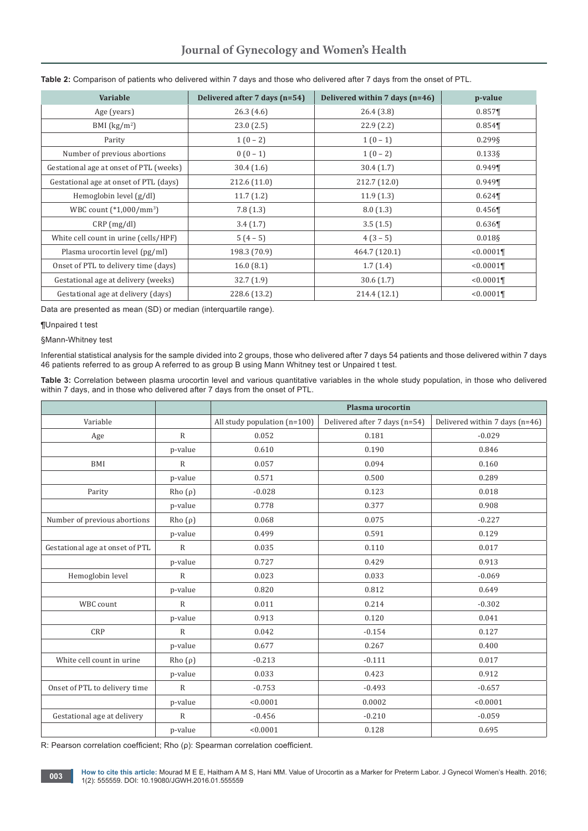| Variable                                | Delivered after 7 days (n=54) | Delivered within 7 days (n=46) | p-value              |
|-----------------------------------------|-------------------------------|--------------------------------|----------------------|
| Age (years)                             | 26.3(4.6)                     | 26.4(3.8)                      | $0.857$ ¶            |
| BMI $(kg/m2)$                           | 23.0(2.5)                     | 22.9(2.2)                      | 0.854                |
| Parity                                  | $1(0-2)$                      | $1(0-1)$                       | 0.2998               |
| Number of previous abortions            | $0(0-1)$                      | $1(0-2)$                       | $0.133$ §            |
| Gestational age at onset of PTL (weeks) | 30.4(1.6)                     | 30.4(1.7)                      | $0.949$ <sup>T</sup> |
| Gestational age at onset of PTL (days)  | 212.6 (11.0)                  | 212.7 (12.0)                   | $0.949$ <sup>T</sup> |
| Hemoglobin level (g/dl)                 | 11.7(1.2)                     | 11.9(1.3)                      | 0.624                |
| WBC count $(*1,000/mm^3)$               | 7.8(1.3)                      | 8.0(1.3)                       | 0.456                |
| CRP(mg/dl)                              | 3.4(1.7)                      | 3.5(1.5)                       | 0.636                |
| White cell count in urine (cells/HPF)   | $5(4-5)$                      | $4(3-5)$                       | 0.018§               |
| Plasma urocortin level (pg/ml)          | 198.3 (70.9)                  | 464.7 (120.1)                  | < 0.0001             |
| Onset of PTL to delivery time (days)    | 16.0(8.1)                     | 1.7(1.4)                       | < 0.0001             |
| Gestational age at delivery (weeks)     | 32.7(1.9)                     | 30.6(1.7)                      | < 0.0001             |
| Gestational age at delivery (days)      | 228.6 (13.2)                  | 214.4 (12.1)                   | $< 0.0001$ ¶         |

#### **Table 2:** Comparison of patients who delivered within 7 days and those who delivered after 7 days from the onset of PTL.

Data are presented as mean (SD) or median (interquartile range).

#### ¶Unpaired t test

§Mann-Whitney test

Inferential statistical analysis for the sample divided into 2 groups, those who delivered after 7 days 54 patients and those delivered within 7 days 46 patients referred to as group A referred to as group B using Mann Whitney test or Unpaired t test.

**Table 3:** Correlation between plasma urocortin level and various quantitative variables in the whole study population, in those who delivered within 7 days, and in those who delivered after 7 days from the onset of PTL.

|                                 |              | Plasma urocortin             |                               |                                |  |
|---------------------------------|--------------|------------------------------|-------------------------------|--------------------------------|--|
| Variable                        |              | All study population (n=100) | Delivered after 7 days (n=54) | Delivered within 7 days (n=46) |  |
| Age                             | $\mathbb{R}$ | 0.052                        | 0.181                         | $-0.029$                       |  |
|                                 | p-value      | 0.610                        | 0.190                         | 0.846                          |  |
| BMI                             | $\mathbb{R}$ | 0.057                        | 0.094                         | 0.160                          |  |
|                                 | p-value      | 0.571                        | 0.500                         | 0.289                          |  |
| Parity                          | $Rho(\rho)$  | $-0.028$                     | 0.123                         | 0.018                          |  |
|                                 | p-value      | 0.778                        | 0.377                         | 0.908                          |  |
| Number of previous abortions    | $Rho(\rho)$  | 0.068                        | 0.075                         | $-0.227$                       |  |
|                                 | p-value      | 0.499                        | 0.591                         | 0.129                          |  |
| Gestational age at onset of PTL | $\mathbb{R}$ | 0.035                        | 0.110                         | 0.017                          |  |
|                                 | p-value      | 0.727                        | 0.429                         | 0.913                          |  |
| Hemoglobin level                | $\mathbb{R}$ | 0.023                        | 0.033                         | $-0.069$                       |  |
|                                 | p-value      | 0.820                        | 0.812                         | 0.649                          |  |
| WBC count                       | $\mathsf{R}$ | 0.011                        | 0.214                         | $-0.302$                       |  |
|                                 | p-value      | 0.913                        | 0.120                         | 0.041                          |  |
| CRP                             | $\mathbb{R}$ | 0.042                        | $-0.154$                      | 0.127                          |  |
|                                 | p-value      | 0.677                        | 0.267                         | 0.400                          |  |
| White cell count in urine       | $Rho(\rho)$  | $-0.213$                     | $-0.111$                      | 0.017                          |  |
|                                 | p-value      | 0.033                        | 0.423                         | 0.912                          |  |
| Onset of PTL to delivery time   | $\mathbb{R}$ | $-0.753$                     | $-0.493$                      | $-0.657$                       |  |
|                                 | p-value      | < 0.0001                     | 0.0002                        | < 0.0001                       |  |
| Gestational age at delivery     | $\mathbb{R}$ | $-0.456$                     | $-0.210$                      | $-0.059$                       |  |
|                                 | p-value      | < 0.0001                     | 0.128                         | 0.695                          |  |

R: Pearson correlation coefficient; Rho (ρ): Spearman correlation coefficient.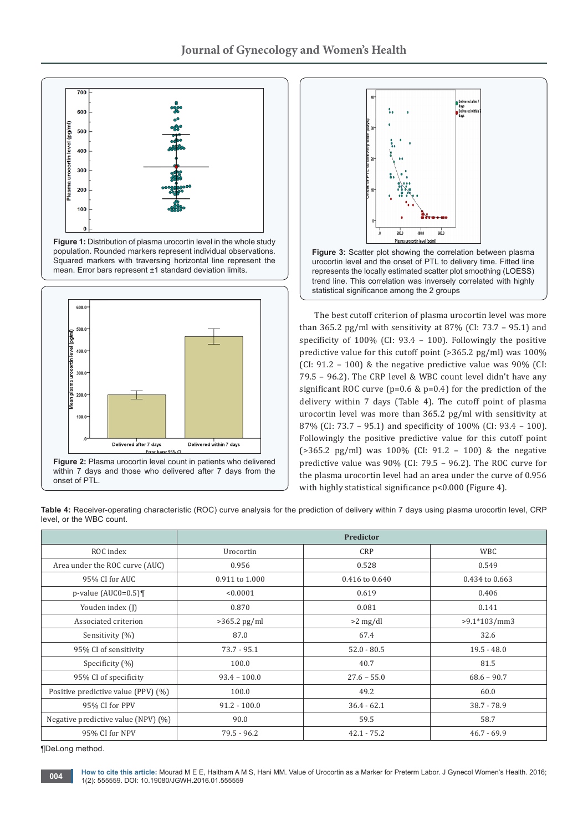





**Figure 3:** Scatter plot showing the correlation between plasma urocortin level and the onset of PTL to delivery time. Fitted line represents the locally estimated scatter plot smoothing (LOESS) trend line. This correlation was inversely correlated with highly statistical significance among the 2 groups

The best cutoff criterion of plasma urocortin level was more than 365.2 pg/ml with sensitivity at 87% (CI:  $73.7 - 95.1$ ) and specificity of 100% (CI: 93.4 – 100). Followingly the positive predictive value for this cutoff point (>365.2 pg/ml) was 100% (CI:  $91.2 - 100$ ) & the negative predictive value was  $90\%$  (CI: 79.5 – 96.2). The CRP level & WBC count level didn't have any significant ROC curve (p=0.6 & p=0.4) for the prediction of the delivery within 7 days (Table 4). The cutoff point of plasma urocortin level was more than 365.2 pg/ml with sensitivity at 87% (CI: 73.7 – 95.1) and specificity of 100% (CI: 93.4 – 100). Followingly the positive predictive value for this cutoff point (>365.2 pg/ml) was 100% (CI: 91.2 – 100) & the negative predictive value was 90% (CI: 79.5 – 96.2). The ROC curve for the plasma urocortin level had an area under the curve of 0.956 with highly statistical significance p<0.000 (Figure 4).

**Table 4:** Receiver-operating characteristic (ROC) curve analysis for the prediction of delivery within 7 days using plasma urocortin level, CRP level, or the WBC count.

|                                        | <b>Predictor</b>               |                |                |  |  |
|----------------------------------------|--------------------------------|----------------|----------------|--|--|
| ROC index                              | Urocortin                      | <b>CRP</b>     | <b>WBC</b>     |  |  |
| Area under the ROC curve (AUC)         | 0.956                          | 0.528          | 0.549          |  |  |
| 95% CI for AUC                         | 0.911 to 1.000                 | 0.416 to 0.640 | 0.434 to 0.663 |  |  |
| $p$ -value (AUC0=0.5)¶                 | < 0.0001                       | 0.619          | 0.406          |  |  |
| Youden index (J)                       | 0.870                          | 0.081          | 0.141          |  |  |
| Associated criterion                   | $>365.2$ pg/ml                 | $>2$ mg/dl     | $>9.1*103/mm3$ |  |  |
| Sensitivity (%)                        | 87.0                           | 67.4           | 32.6           |  |  |
| 95% CI of sensitivity                  | $73.7 - 95.1$                  | $52.0 - 80.5$  | $19.5 - 48.0$  |  |  |
| Specificity (%)                        | 100.0                          | 40.7           | 81.5           |  |  |
| 95% CI of specificity                  | $93.4 - 100.0$                 | $27.6 - 55.0$  | $68.6 - 90.7$  |  |  |
| Positive predictive value (PPV) (%)    | 49.2<br>100.0                  |                | 60.0           |  |  |
| 95% CI for PPV                         | $91.2 - 100.0$                 |                | $38.7 - 78.9$  |  |  |
| Negative predictive value (NPV) $(\%)$ | 90.0<br>59.5                   |                | 58.7           |  |  |
| 95% CI for NPV                         | $79.5 - 96.2$<br>$42.1 - 75.2$ |                | $46.7 - 69.9$  |  |  |

¶DeLong method.

onset of PTL.

**How to cite this article:** Mourad M E E, Haitham A M S, Hani MM. Value of Urocortin as a Marker for Preterm Labor. J Gynecol Women's Health. 2016; **1004 how to cite this article:** Modiad M E E, Haltham A N 1(2): 555559. DOI: [10.19080/JGWH.2016.01.555559](http://dx.doi.org/10.19080/jgwh.2016.01.555559
)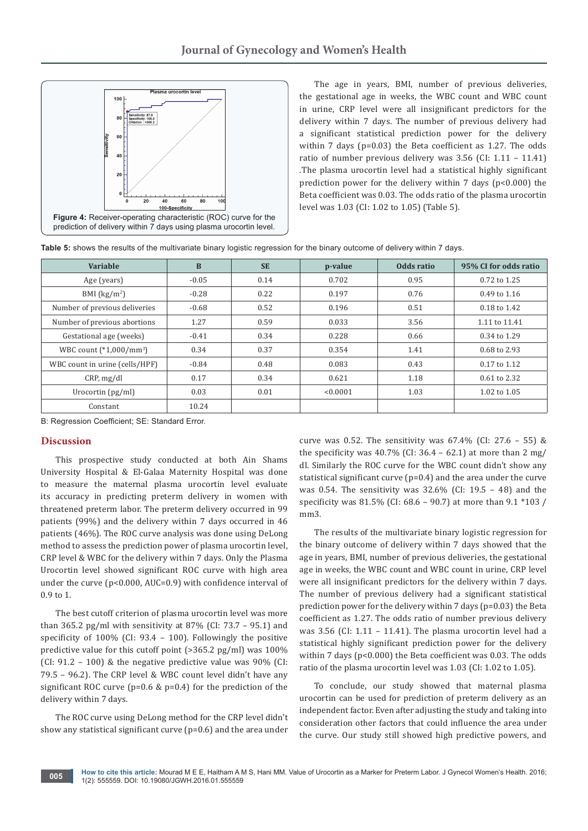

The age in years, BMI, number of previous deliveries, the gestational age in weeks, the WBC count and WBC count in urine, CRP level were all insignificant predictors for the delivery within 7 days. The number of previous delivery had a significant statistical prediction power for the delivery within 7 days (p=0.03) the Beta coefficient as 1.27. The odds ratio of number previous delivery was 3.56 (CI: 1.11 – 11.41) .The plasma urocortin level had a statistical highly significant prediction power for the delivery within 7 days (p<0.000) the Beta coefficient was 0.03. The odds ratio of the plasma urocortin level was 1.03 (CI: 1.02 to 1.05) (Table 5).

| Table 5: shows the results of the multivariate binary logistic regression for the binary outcome of delivery within 7 days. |  |  |  |
|-----------------------------------------------------------------------------------------------------------------------------|--|--|--|
|-----------------------------------------------------------------------------------------------------------------------------|--|--|--|

| Variable                            | $\bf{B}$ | <b>SE</b> | p-value  | Odds ratio | 95% CI for odds ratio |
|-------------------------------------|----------|-----------|----------|------------|-----------------------|
| Age (years)                         | $-0.05$  | 0.14      | 0.702    | 0.95       | 0.72 to 1.25          |
| BMI $(kg/m2)$                       | $-0.28$  | 0.22      | 0.197    | 0.76       | 0.49 to 1.16          |
| Number of previous deliveries       | $-0.68$  | 0.52      | 0.196    | 0.51       | 0.18 to 1.42          |
| Number of previous abortions        | 1.27     | 0.59      | 0.033    | 3.56       | 1.11 to 11.41         |
| Gestational age (weeks)             | $-0.41$  | 0.34      | 0.228    | 0.66       | 0.34 to 1.29          |
| WBC count (*1,000/mm <sup>3</sup> ) | 0.34     | 0.37      | 0.354    | 1.41       | 0.68 to 2.93          |
| WBC count in urine (cells/HPF)      | $-0.84$  | 0.48      | 0.083    | 0.43       | 0.17 to 1.12          |
| CRP, mg/dl                          | 0.17     | 0.34      | 0.621    | 1.18       | 0.61 to 2.32          |
| Urocortin $(pg/ml)$                 | 0.03     | 0.01      | < 0.0001 | 1.03       | 1.02 to 1.05          |
| Constant                            | 10.24    |           |          |            |                       |

B: Regression Coefficient; SE: Standard Error.

## **Discussion**

This prospective study conducted at both Ain Shams University Hospital & El-Galaa Maternity Hospital was done to measure the maternal plasma urocortin level evaluate its accuracy in predicting preterm delivery in women with threatened preterm labor. The preterm delivery occurred in 99 patients (99%) and the delivery within 7 days occurred in 46 patients (46%). The ROC curve analysis was done using DeLong method to assess the prediction power of plasma urocortin level, CRP level & WBC for the delivery within 7 days. Only the Plasma Urocortin level showed significant ROC curve with high area under the curve (p<0.000, AUC=0.9) with confidence interval of 0.9 to 1.

The best cutoff criterion of plasma urocortin level was more than 365.2 pg/ml with sensitivity at 87% (CI:  $73.7 - 95.1$ ) and specificity of 100% (CI: 93.4 – 100). Followingly the positive predictive value for this cutoff point (>365.2 pg/ml) was 100% (CI: 91.2 – 100) & the negative predictive value was 90% (CI: 79.5 – 96.2). The CRP level & WBC count level didn't have any significant ROC curve (p=0.6 & p=0.4) for the prediction of the delivery within 7 days.

The ROC curve using DeLong method for the CRP level didn't show any statistical significant curve (p=0.6) and the area under

curve was 0.52. The sensitivity was  $67.4\%$  (CI: 27.6 – 55) & the specificity was  $40.7\%$  (CI:  $36.4 - 62.1$ ) at more than 2 mg/ dl. Similarly the ROC curve for the WBC count didn't show any statistical significant curve (p=0.4) and the area under the curve was 0.54. The sensitivity was 32.6% (CI: 19.5 – 48) and the specificity was 81.5% (CI: 68.6 – 90.7) at more than 9.1 \*103 / mm<sub>3</sub>.

The results of the multivariate binary logistic regression for the binary outcome of delivery within 7 days showed that the age in years, BMI, number of previous deliveries, the gestational age in weeks, the WBC count and WBC count in urine, CRP level were all insignificant predictors for the delivery within 7 days. The number of previous delivery had a significant statistical prediction power for the delivery within 7 days (p=0.03) the Beta coefficient as 1.27. The odds ratio of number previous delivery was 3.56 (CI: 1.11 – 11.41). The plasma urocortin level had a statistical highly significant prediction power for the delivery within 7 days (p<0.000) the Beta coefficient was 0.03. The odds ratio of the plasma urocortin level was 1.03 (CI: 1.02 to 1.05).

To conclude, our study showed that maternal plasma urocortin can be used for prediction of preterm delivery as an independent factor. Even after adjusting the study and taking into consideration other factors that could influence the area under the curve. Our study still showed high predictive powers, and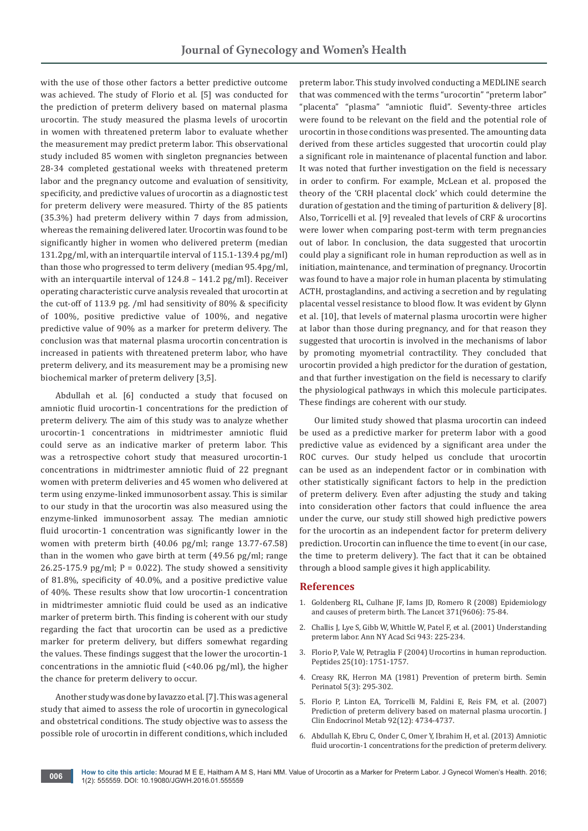with the use of those other factors a better predictive outcome was achieved. The study of Florio et al. [5] was conducted for the prediction of preterm delivery based on maternal plasma urocortin. The study measured the plasma levels of urocortin in women with threatened preterm labor to evaluate whether the measurement may predict preterm labor. This observational study included 85 women with singleton pregnancies between 28-34 completed gestational weeks with threatened preterm labor and the pregnancy outcome and evaluation of sensitivity, specificity, and predictive values of urocortin as a diagnostic test for preterm delivery were measured. Thirty of the 85 patients (35.3%) had preterm delivery within 7 days from admission, whereas the remaining delivered later. Urocortin was found to be significantly higher in women who delivered preterm (median 131.2pg/ml, with an interquartile interval of 115.1-139.4 pg/ml) than those who progressed to term delivery (median 95.4pg/ml, with an interquartile interval of 124.8 – 141.2 pg/ml). Receiver operating characteristic curve analysis revealed that urocortin at the cut-off of 113.9 pg. /ml had sensitivity of 80% & specificity of 100%, positive predictive value of 100%, and negative predictive value of 90% as a marker for preterm delivery. The conclusion was that maternal plasma urocortin concentration is increased in patients with threatened preterm labor, who have preterm delivery, and its measurement may be a promising new biochemical marker of preterm delivery [3,5].

Abdullah et al. [6] conducted a study that focused on amniotic fluid urocortin-1 concentrations for the prediction of preterm delivery. The aim of this study was to analyze whether urocortin-1 concentrations in midtrimester amniotic fluid could serve as an indicative marker of preterm labor. This was a retrospective cohort study that measured urocortin-1 concentrations in midtrimester amniotic fluid of 22 pregnant women with preterm deliveries and 45 women who delivered at term using enzyme-linked immunosorbent assay. This is similar to our study in that the urocortin was also measured using the enzyme-linked immunosorbent assay. The median amniotic fluid urocortin-1 concentration was significantly lower in the women with preterm birth (40.06 pg/ml; range 13.77-67.58) than in the women who gave birth at term (49.56 pg/ml; range 26.25-175.9 pg/ml;  $P = 0.022$ ). The study showed a sensitivity of 81.8%, specificity of 40.0%, and a positive predictive value of 40%. These results show that low urocortin-1 concentration in midtrimester amniotic fluid could be used as an indicative marker of preterm birth. This finding is coherent with our study regarding the fact that urocortin can be used as a predictive marker for preterm delivery, but differs somewhat regarding the values. These findings suggest that the lower the urocortin-1 concentrations in the amniotic fluid (<40.06 pg/ml), the higher the chance for preterm delivery to occur.

Another study was done by Iavazzo et al. [7]. This was a general study that aimed to assess the role of urocortin in gynecological and obstetrical conditions. The study objective was to assess the possible role of urocortin in different conditions, which included

preterm labor. This study involved conducting a MEDLINE search that was commenced with the terms "urocortin" "preterm labor" "placenta" "plasma" "amniotic fluid". Seventy-three articles were found to be relevant on the field and the potential role of urocortin in those conditions was presented. The amounting data derived from these articles suggested that urocortin could play a significant role in maintenance of placental function and labor. It was noted that further investigation on the field is necessary in order to confirm. For example, McLean et al. proposed the theory of the 'CRH placental clock' which could determine the duration of gestation and the timing of parturition & delivery [8]. Also, Torricelli et al. [9] revealed that levels of CRF & urocortins were lower when comparing post-term with term pregnancies out of labor. In conclusion, the data suggested that urocortin could play a significant role in human reproduction as well as in initiation, maintenance, and termination of pregnancy. Urocortin was found to have a major role in human placenta by stimulating ACTH, prostaglandins, and activing a secretion and by regulating placental vessel resistance to blood flow. It was evident by Glynn et al. [10], that levels of maternal plasma urocortin were higher at labor than those during pregnancy, and for that reason they suggested that urocortin is involved in the mechanisms of labor by promoting myometrial contractility. They concluded that urocortin provided a high predictor for the duration of gestation, and that further investigation on the field is necessary to clarify the physiological pathways in which this molecule participates. These findings are coherent with our study.

Our limited study showed that plasma urocortin can indeed be used as a predictive marker for preterm labor with a good predictive value as evidenced by a significant area under the ROC curves. Our study helped us conclude that urocortin can be used as an independent factor or in combination with other statistically significant factors to help in the prediction of preterm delivery. Even after adjusting the study and taking into consideration other factors that could influence the area under the curve, our study still showed high predictive powers for the urocortin as an independent factor for preterm delivery prediction. Urocortin can influence the time to event (in our case, the time to preterm delivery). The fact that it can be obtained through a blood sample gives it high applicability.

# **References**

- 1. [Goldenberg RL, Culhane JF, Iams JD, Romero R \(2008\) Epidemiology](http://www.ncbi.nlm.nih.gov/pubmed/18177778)  [and causes of preterm birth. The Lancet 371\(9606\): 75-84.](http://www.ncbi.nlm.nih.gov/pubmed/18177778)
- 2. [Challis J, Lye S, Gibb W, Whittle W, Patel F, et al. \(2001\) Understanding](http://www.ncbi.nlm.nih.gov/pubmed/11594542)  [preterm labor. Ann NY Acad Sci 943: 225-234.](http://www.ncbi.nlm.nih.gov/pubmed/11594542)
- 3. [Florio P, Vale W, Petraglia F \(2004\) Urocortins in human reproduction.](http://www.ncbi.nlm.nih.gov/pubmed/15476942)  [Peptides 25\(10\): 1751-1757.](http://www.ncbi.nlm.nih.gov/pubmed/15476942)
- 4. [Creasy RK, Herron MA \(1981\) Prevention of preterm birth. Semin](http://www.ncbi.nlm.nih.gov/pubmed/7025219)  [Perinatol 5\(3\): 295-302.](http://www.ncbi.nlm.nih.gov/pubmed/7025219)
- 5. [Florio P, Linton EA, Torricelli M, Faldini E, Reis FM, et al. \(2007\)](http://www.ncbi.nlm.nih.gov/pubmed/17986644)  [Prediction of preterm delivery based on maternal plasma urocortin. J](http://www.ncbi.nlm.nih.gov/pubmed/17986644)  [Clin Endocrinol Metab 92\(12\): 4734-4737.](http://www.ncbi.nlm.nih.gov/pubmed/17986644)
- 6. [Abdullah K, Ebru C, Onder C, Omer Y, Ibrahim H, et al. \(2013\) Amniotic](http://www.ncbi.nlm.nih.gov/pubmed/23803006)  [fluid urocortin-1 concentrations for the prediction of preterm delivery.](http://www.ncbi.nlm.nih.gov/pubmed/23803006)